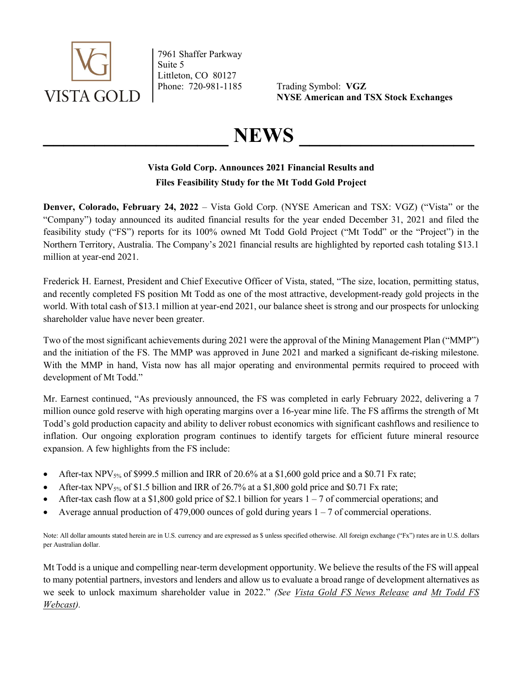

7961 Shaffer Parkway Suite 5 Littleton, CO 80127

Phone: 720-981-1185 Trading Symbol: VGZ NYSE American and TSX Stock Exchanges

# $NEWS$

# Vista Gold Corp. Announces 2021 Financial Results and Files Feasibility Study for the Mt Todd Gold Project

Denver, Colorado, February 24, 2022 – Vista Gold Corp. (NYSE American and TSX: VGZ) ("Vista" or the "Company") today announced its audited financial results for the year ended December 31, 2021 and filed the feasibility study ("FS") reports for its 100% owned Mt Todd Gold Project ("Mt Todd" or the "Project") in the Northern Territory, Australia. The Company's 2021 financial results are highlighted by reported cash totaling \$13.1 million at year-end 2021.

Frederick H. Earnest, President and Chief Executive Officer of Vista, stated, "The size, location, permitting status, and recently completed FS position Mt Todd as one of the most attractive, development-ready gold projects in the world. With total cash of \$13.1 million at year-end 2021, our balance sheet is strong and our prospects for unlocking shareholder value have never been greater.

Two of the most significant achievements during 2021 were the approval of the Mining Management Plan ("MMP") and the initiation of the FS. The MMP was approved in June 2021 and marked a significant de-risking milestone. With the MMP in hand, Vista now has all major operating and environmental permits required to proceed with development of Mt Todd."

Mr. Earnest continued, "As previously announced, the FS was completed in early February 2022, delivering a 7 million ounce gold reserve with high operating margins over a 16-year mine life. The FS affirms the strength of Mt Todd's gold production capacity and ability to deliver robust economics with significant cashflows and resilience to inflation. Our ongoing exploration program continues to identify targets for efficient future mineral resource expansion. A few highlights from the FS include:

- $\blacktriangleright$  After-tax NPV<sub>5%</sub> of \$999.5 million and IRR of 20.6% at a \$1,600 gold price and a \$0.71 Fx rate;
- $\bullet$  After-tax NPV<sub>5%</sub> of \$1.5 billion and IRR of 26.7% at a \$1,800 gold price and \$0.71 Fx rate;
- After-tax cash flow at a \$1,800 gold price of \$2.1 billion for years  $1 7$  of commercial operations; and
- Average annual production of 479,000 ounces of gold during years 1 7 of commercial operations.

Note: All dollar amounts stated herein are in U.S. currency and are expressed as \$ unless specified otherwise. All foreign exchange ("Fx") rates are in U.S. dollars per Australian dollar.

Mt Todd is a unique and compelling near-term development opportunity. We believe the results of the FS will appeal to many potential partners, investors and lenders and allow us to evaluate a broad range of development alternatives as we seek to unlock maximum shareholder value in 2022." (See Vista Gold FS News Release and Mt Todd FS Webcast).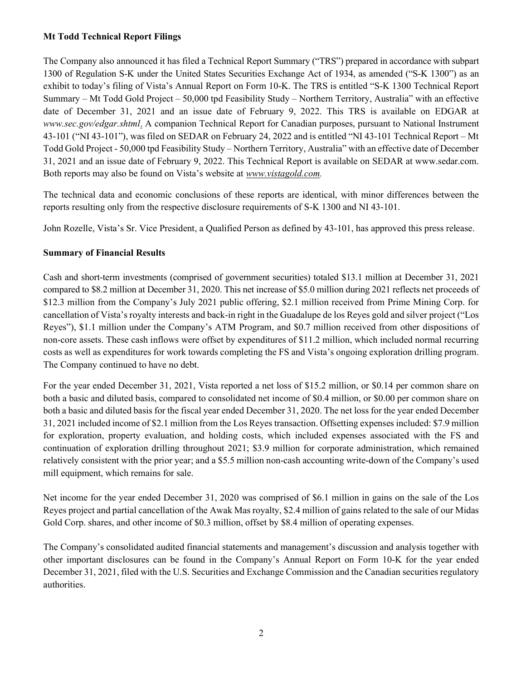## Mt Todd Technical Report Filings

The Company also announced it has filed a Technical Report Summary ("TRS") prepared in accordance with subpart 1300 of Regulation S-K under the United States Securities Exchange Act of 1934, as amended ("S-K 1300") as an exhibit to today's filing of Vista's Annual Report on Form 10-K. The TRS is entitled "S-K 1300 Technical Report Summary – Mt Todd Gold Project – 50,000 tpd Feasibility Study – Northern Territory, Australia" with an effective date of December 31, 2021 and an issue date of February 9, 2022. This TRS is available on EDGAR at www.sec.gov/edgar.shtml. A companion Technical Report for Canadian purposes, pursuant to National Instrument 43-101 ("NI 43-101"), was filed on SEDAR on February 24, 2022 and is entitled "NI 43-101 Technical Report – Mt Todd Gold Project - 50,000 tpd Feasibility Study – Northern Territory, Australia" with an effective date of December 31, 2021 and an issue date of February 9, 2022. This Technical Report is available on SEDAR at www.sedar.com. Both reports may also be found on Vista's website at www.vistagold.com.

The technical data and economic conclusions of these reports are identical, with minor differences between the reports resulting only from the respective disclosure requirements of S-K 1300 and NI 43-101.

John Rozelle, Vista's Sr. Vice President, a Qualified Person as defined by 43-101, has approved this press release.

# Summary of Financial Results

Cash and short-term investments (comprised of government securities) totaled \$13.1 million at December 31, 2021 compared to \$8.2 million at December 31, 2020. This net increase of \$5.0 million during 2021 reflects net proceeds of \$12.3 million from the Company's July 2021 public offering, \$2.1 million received from Prime Mining Corp. for cancellation of Vista's royalty interests and back-in right in the Guadalupe de los Reyes gold and silver project ("Los Reyes"), \$1.1 million under the Company's ATM Program, and \$0.7 million received from other dispositions of non-core assets. These cash inflows were offset by expenditures of \$11.2 million, which included normal recurring costs as well as expenditures for work towards completing the FS and Vista's ongoing exploration drilling program. The Company continued to have no debt.

For the year ended December 31, 2021, Vista reported a net loss of \$15.2 million, or \$0.14 per common share on both a basic and diluted basis, compared to consolidated net income of \$0.4 million, or \$0.00 per common share on both a basic and diluted basis for the fiscal year ended December 31, 2020. The net loss for the year ended December 31, 2021 included income of \$2.1 million from the Los Reyes transaction. Offsetting expenses included: \$7.9 million for exploration, property evaluation, and holding costs, which included expenses associated with the FS and continuation of exploration drilling throughout 2021; \$3.9 million for corporate administration, which remained relatively consistent with the prior year; and a \$5.5 million non-cash accounting write-down of the Company's used mill equipment, which remains for sale.

Net income for the year ended December 31, 2020 was comprised of \$6.1 million in gains on the sale of the Los Reyes project and partial cancellation of the Awak Mas royalty, \$2.4 million of gains related to the sale of our Midas Gold Corp. shares, and other income of \$0.3 million, offset by \$8.4 million of operating expenses.

The Company's consolidated audited financial statements and management's discussion and analysis together with other important disclosures can be found in the Company's Annual Report on Form 10-K for the year ended December 31, 2021, filed with the U.S. Securities and Exchange Commission and the Canadian securities regulatory authorities.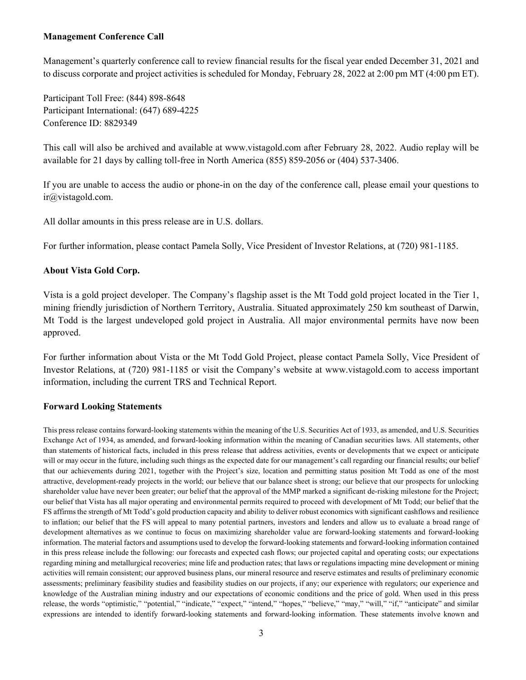### Management Conference Call

Management's quarterly conference call to review financial results for the fiscal year ended December 31, 2021 and to discuss corporate and project activities is scheduled for Monday, February 28, 2022 at 2:00 pm MT (4:00 pm ET).

Participant Toll Free: (844) 898-8648 Participant International: (647) 689-4225 Conference ID: 8829349

This call will also be archived and available at www.vistagold.com after February 28, 2022. Audio replay will be available for 21 days by calling toll-free in North America (855) 859-2056 or (404) 537-3406.

If you are unable to access the audio or phone-in on the day of the conference call, please email your questions to ir@vistagold.com.

All dollar amounts in this press release are in U.S. dollars.

For further information, please contact Pamela Solly, Vice President of Investor Relations, at (720) 981-1185.

### About Vista Gold Corp.

Vista is a gold project developer. The Company's flagship asset is the Mt Todd gold project located in the Tier 1, mining friendly jurisdiction of Northern Territory, Australia. Situated approximately 250 km southeast of Darwin, Mt Todd is the largest undeveloped gold project in Australia. All major environmental permits have now been approved.

For further information about Vista or the Mt Todd Gold Project, please contact Pamela Solly, Vice President of Investor Relations, at (720) 981-1185 or visit the Company's website at www.vistagold.com to access important information, including the current TRS and Technical Report.

### Forward Looking Statements

This press release contains forward-looking statements within the meaning of the U.S. Securities Act of 1933, as amended, and U.S. Securities Exchange Act of 1934, as amended, and forward-looking information within the meaning of Canadian securities laws. All statements, other than statements of historical facts, included in this press release that address activities, events or developments that we expect or anticipate will or may occur in the future, including such things as the expected date for our management's call regarding our financial results; our belief that our achievements during 2021, together with the Project's size, location and permitting status position Mt Todd as one of the most attractive, development-ready projects in the world; our believe that our balance sheet is strong; our believe that our prospects for unlocking shareholder value have never been greater; our belief that the approval of the MMP marked a significant de-risking milestone for the Project; our belief that Vista has all major operating and environmental permits required to proceed with development of Mt Todd; our belief that the FS affirms the strength of Mt Todd's gold production capacity and ability to deliver robust economics with significant cashflows and resilience to inflation; our belief that the FS will appeal to many potential partners, investors and lenders and allow us to evaluate a broad range of development alternatives as we continue to focus on maximizing shareholder value are forward-looking statements and forward-looking information. The material factors and assumptions used to develop the forward-looking statements and forward-looking information contained in this press release include the following: our forecasts and expected cash flows; our projected capital and operating costs; our expectations regarding mining and metallurgical recoveries; mine life and production rates; that laws or regulations impacting mine development or mining activities will remain consistent; our approved business plans, our mineral resource and reserve estimates and results of preliminary economic assessments; preliminary feasibility studies and feasibility studies on our projects, if any; our experience with regulators; our experience and knowledge of the Australian mining industry and our expectations of economic conditions and the price of gold. When used in this press release, the words "optimistic," "potential," "indicate," "expect," "intend," "hopes," "believe," "may," "will," "if," "anticipate" and similar expressions are intended to identify forward-looking statements and forward-looking information. These statements involve known and